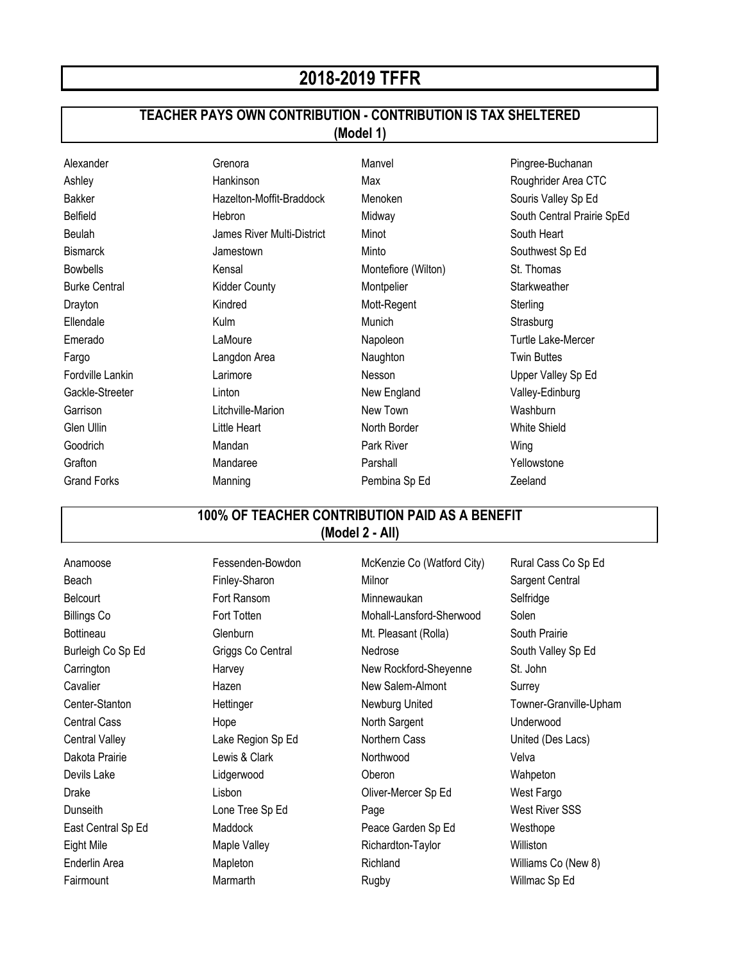## **2018-2019 TFFR**

## **TEACHER PAYS OWN CONTRIBUTION - CONTRIBUTION IS TAX SHELTERED**

**(Model 1)**

| Alexander            | Grenora                    | Manvel              | Pingree-Buchanan           |
|----------------------|----------------------------|---------------------|----------------------------|
| Ashley               | Hankinson                  | Max                 | Roughrider Area CTC        |
| <b>Bakker</b>        | Hazelton-Moffit-Braddock   | Menoken             | Souris Valley Sp Ed        |
| Belfield             | Hebron                     | Midway              | South Central Prairie SpEd |
| Beulah               | James River Multi-District | Minot               | South Heart                |
| <b>Bismarck</b>      | Jamestown                  | Minto               | Southwest Sp Ed            |
| <b>Bowbells</b>      | Kensal                     | Montefiore (Wilton) | St. Thomas                 |
| <b>Burke Central</b> | <b>Kidder County</b>       | Montpelier          | Starkweather               |
| Drayton              | Kindred                    | Mott-Regent         | Sterling                   |
| Ellendale            | Kulm                       | Munich              | Strasburg                  |
| Emerado              | LaMoure                    | Napoleon            | Turtle Lake-Mercer         |
| Fargo                | Langdon Area               | Naughton            | <b>Twin Buttes</b>         |
| Fordville Lankin     | Larimore                   | Nesson              | Upper Valley Sp Ed         |
| Gackle-Streeter      | Linton                     | New England         | Valley-Edinburg            |
| Garrison             | Litchville-Marion          | New Town            | Washburn                   |
| Glen Ullin           | Little Heart               | North Border        | <b>White Shield</b>        |
| Goodrich             | Mandan                     | Park River          | Wing                       |
| Grafton              | Mandaree                   | Parshall            | Yellowstone                |
| <b>Grand Forks</b>   | Manning                    | Pembina Sp Ed       | Zeeland                    |

## **100% OF TEACHER CONTRIBUTION PAID AS A BENEFIT (Model 2 - All)**

Anamoose **Fessenden-Bowdon** McKenzie Co (Watford City) Rural Cass Co Sp Ed Beach Finley-Sharon Milnor Milnor Sargent Central Belcourt Fort Ransom Minnewaukan Selfridge Billings Co **Fort Totten** Fort Totten Mohall-Lansford-Sherwood Solen Bottineau **Glenburn** Glenburn Mt. Pleasant (Rolla) South Prairie Burleigh Co Sp Ed Griggs Co Central Nedrose Nedrose South Valley Sp Ed Carrington **New Rockford-Sheyenne** St. John Cavalier **New Salem-Almont** Surrey **Hazen** New Salem-Almont Surrey Center-Stanton **Mettinger** Hettinger Newburg United Towner-Granville-Upham Central Cass **Hope Hope** North Sargent Underwood Central Valley **Lake Region Sp Ed** Northern Cass United (Des Lacs) Dakota Prairie **Marine School Lewis & Clark Clark** Northwood **Northwood** Velva Devils Lake Lidgerwood Oberon Wahpeton Drake **Lisbon** Cliver-Mercer Sp Ed West Fargo Dunseith Lone Tree Sp Ed Page West River SSS East Central Sp Ed Maddock **Peace Garden Sp Ed** Westhope Eight Mile **Maple Valley Richardton-Taylor** Williston Enderlin Area **Mapleton** Mapleton Richland Richland Williams Co (New 8) Fairmount Marmarth Marmarth Rugby Rugby Willmac Sp Ed